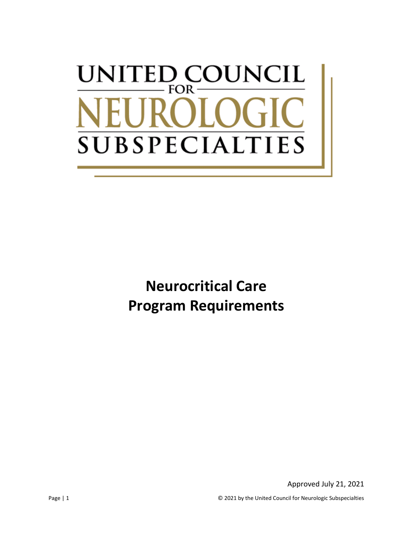# UNCIL UNITED CO FOR-**SUBSPECIALT IES**

**Neurocritical Care Program Requirements**

Approved July 21, 2021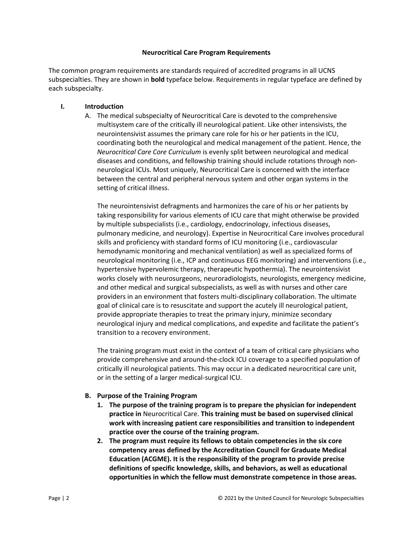#### **Neurocritical Care Program Requirements**

The common program requirements are standards required of accredited programs in all UCNS subspecialties. They are shown in **bold** typeface below. Requirements in regular typeface are defined by each subspecialty.

#### **I. Introduction**

A. The medical subspecialty of Neurocritical Care is devoted to the comprehensive multisystem care of the critically ill neurological patient. Like other intensivists, the neurointensivist assumes the primary care role for his or her patients in the ICU, coordinating both the neurological and medical management of the patient. Hence, the *Neurocritical Care Core Curriculum* is evenly split between neurological and medical diseases and conditions, and fellowship training should include rotations through nonneurological ICUs. Most uniquely, Neurocritical Care is concerned with the interface between the central and peripheral nervous system and other organ systems in the setting of critical illness.

The neurointensivist defragments and harmonizes the care of his or her patients by taking responsibility for various elements of ICU care that might otherwise be provided by multiple subspecialists (i.e., cardiology, endocrinology, infectious diseases, pulmonary medicine, and neurology). Expertise in Neurocritical Care involves procedural skills and proficiency with standard forms of ICU monitoring (i.e., cardiovascular hemodynamic monitoring and mechanical ventilation) as well as specialized forms of neurological monitoring (i.e., ICP and continuous EEG monitoring) and interventions (i.e., hypertensive hypervolemic therapy, therapeutic hypothermia). The neurointensivist works closely with neurosurgeons, neuroradiologists, neurologists, emergency medicine, and other medical and surgical subspecialists, as well as with nurses and other care providers in an environment that fosters multi-disciplinary collaboration. The ultimate goal of clinical care is to resuscitate and support the acutely ill neurological patient, provide appropriate therapies to treat the primary injury, minimize secondary neurological injury and medical complications, and expedite and facilitate the patient's transition to a recovery environment.

The training program must exist in the context of a team of critical care physicians who provide comprehensive and around-the-clock ICU coverage to a specified population of critically ill neurological patients. This may occur in a dedicated neurocritical care unit, or in the setting of a larger medical-surgical ICU.

### **B. Purpose of the Training Program**

- **1. The purpose of the training program is to prepare the physician for independent practice in** Neurocritical Care. **This training must be based on supervised clinical work with increasing patient care responsibilities and transition to independent practice over the course of the training program.**
- **2. The program must require its fellows to obtain competencies in the six core competency areas defined by the Accreditation Council for Graduate Medical Education (ACGME). It is the responsibility of the program to provide precise definitions of specific knowledge, skills, and behaviors, as well as educational opportunities in which the fellow must demonstrate competence in those areas.**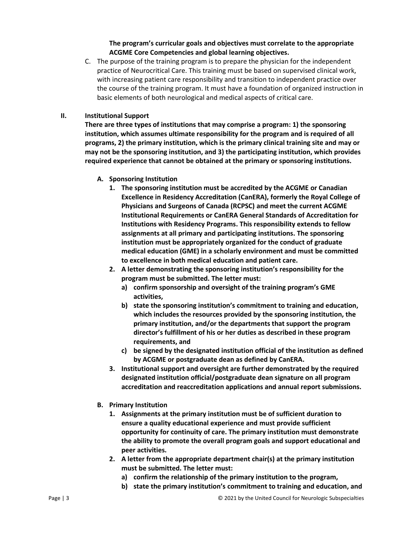## **The program's curricular goals and objectives must correlate to the appropriate ACGME Core Competencies and global learning objectives.**

C. The purpose of the training program is to prepare the physician for the independent practice of Neurocritical Care. This training must be based on supervised clinical work, with increasing patient care responsibility and transition to independent practice over the course of the training program. It must have a foundation of organized instruction in basic elements of both neurological and medical aspects of critical care.

### **II. Institutional Support**

**There are three types of institutions that may comprise a program: 1) the sponsoring institution, which assumes ultimate responsibility for the program and is required of all programs, 2) the primary institution, which is the primary clinical training site and may or may not be the sponsoring institution, and 3) the participating institution, which provides required experience that cannot be obtained at the primary or sponsoring institutions.**

# **A. Sponsoring Institution**

- **1. The sponsoring institution must be accredited by the ACGME or Canadian Excellence in Residency Accreditation (CanERA), formerly the Royal College of Physicians and Surgeons of Canada (RCPSC) and meet the current ACGME Institutional Requirements or CanERA General Standards of Accreditation for Institutions with Residency Programs. This responsibility extends to fellow assignments at all primary and participating institutions. The sponsoring institution must be appropriately organized for the conduct of graduate medical education (GME) in a scholarly environment and must be committed to excellence in both medical education and patient care.**
- **2. A letter demonstrating the sponsoring institution's responsibility for the program must be submitted. The letter must:**
	- **a) confirm sponsorship and oversight of the training program's GME activities,**
	- **b) state the sponsoring institution's commitment to training and education, which includes the resources provided by the sponsoring institution, the primary institution, and/or the departments that support the program director's fulfillment of his or her duties as described in these program requirements, and**
	- **c) be signed by the designated institution official of the institution as defined by ACGME or postgraduate dean as defined by CanERA.**
- **3. Institutional support and oversight are further demonstrated by the required designated institution official/postgraduate dean signature on all program accreditation and reaccreditation applications and annual report submissions.**
- **B. Primary Institution**
	- **1. Assignments at the primary institution must be of sufficient duration to ensure a quality educational experience and must provide sufficient opportunity for continuity of care. The primary institution must demonstrate the ability to promote the overall program goals and support educational and peer activities.**
	- **2. A letter from the appropriate department chair(s) at the primary institution must be submitted. The letter must:**
		- **a) confirm the relationship of the primary institution to the program,**
		- **b) state the primary institution's commitment to training and education, and**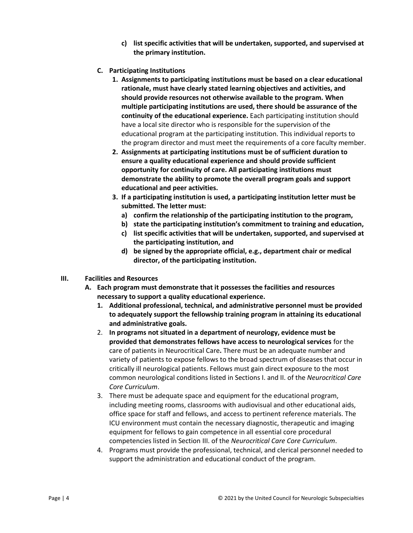- **c) list specific activities that will be undertaken, supported, and supervised at the primary institution.**
- **C. Participating Institutions**
	- **1. Assignments to participating institutions must be based on a clear educational rationale, must have clearly stated learning objectives and activities, and should provide resources not otherwise available to the program. When multiple participating institutions are used, there should be assurance of the continuity of the educational experience.** Each participating institution should have a local site director who is responsible for the supervision of the educational program at the participating institution. This individual reports to the program director and must meet the requirements of a core faculty member.
	- **2. Assignments at participating institutions must be of sufficient duration to ensure a quality educational experience and should provide sufficient opportunity for continuity of care. All participating institutions must demonstrate the ability to promote the overall program goals and support educational and peer activities.**
	- **3. If a participating institution is used, a participating institution letter must be submitted. The letter must:**
		- **a) confirm the relationship of the participating institution to the program,**
		- **b) state the participating institution's commitment to training and education,**
		- **c) list specific activities that will be undertaken, supported, and supervised at the participating institution, and**
		- **d) be signed by the appropriate official, e.g., department chair or medical director, of the participating institution.**
- **III. Facilities and Resources**
	- **A. Each program must demonstrate that it possesses the facilities and resources necessary to support a quality educational experience.**
		- **1. Additional professional, technical, and administrative personnel must be provided to adequately support the fellowship training program in attaining its educational and administrative goals.**
		- 2. **In programs not situated in a department of neurology, evidence must be provided that demonstrates fellows have access to neurological services** for the care of patients in Neurocritical Care**.** There must be an adequate number and variety of patients to expose fellows to the broad spectrum of diseases that occur in critically ill neurological patients. Fellows must gain direct exposure to the most common neurological conditions listed in Sections I. and II. of the *Neurocritical Care Core Curriculum*.
		- 3. There must be adequate space and equipment for the educational program, including meeting rooms, classrooms with audiovisual and other educational aids, office space for staff and fellows, and access to pertinent reference materials. The ICU environment must contain the necessary diagnostic, therapeutic and imaging equipment for fellows to gain competence in all essential core procedural competencies listed in Section III. of the *Neurocritical Care Core Curriculum*.
		- 4. Programs must provide the professional, technical, and clerical personnel needed to support the administration and educational conduct of the program.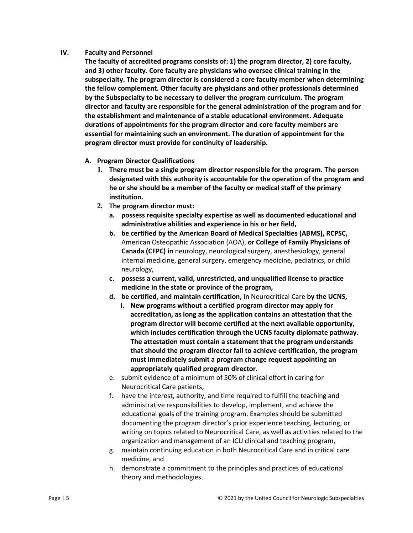### **IV. Faculty and Personnel**

**The faculty of accredited programs consists of: 1) the program director, 2) core faculty, and 3) other faculty. Core faculty are physicians who oversee clinical training in the subspecialty. The program director is considered a core faculty member when determining the fellow complement. Other faculty are physicians and other professionals determined by the Subspecialty to be necessary to deliver the program curriculum. The program director and faculty are responsible for the general administration of the program and for the establishment and maintenance of a stable educational environment. Adequate durations of appointments for the program director and core faculty members are essential for maintaining such an environment. The duration of appointment for the program director must provide for continuity of leadership.**

- **A. Program Director Qualifications**
	- **1. There must be a single program director responsible for the program. The person designated with this authority is accountable for the operation of the program and he or she should be a member of the faculty or medical staff of the primary institution.**
	- **2. The program director must:**
		- **a. possess requisite specialty expertise as well as documented educational and administrative abilities and experience in his or her field,**
		- **b. be certified by the American Board of Medical Specialties (ABMS), RCPSC,**  American Osteopathic Association (AOA), **or College of Family Physicians of Canada (CFPC) in** neurology, neurological surgery, anesthesiology, general internal medicine, general surgery, emergency medicine, pediatrics, or child neurology,
		- **c. possess a current, valid, unrestricted, and unqualified license to practice medicine in the state or province of the program,**
		- **d. be certified, and maintain certification, in** Neurocritical Care **by the UCNS,**
			- **i. New programs without a certified program director may apply for accreditation, as long as the application contains an attestation that the program director will become certified at the next available opportunity, which includes certification through the UCNS faculty diplomate pathway. The attestation must contain a statement that the program understands that should the program director fail to achieve certification, the program must immediately submit a program change request appointing an appropriately qualified program director.**
		- e. submit evidence of a minimum of 50% of clinical effort in caring for Neurocritical Care patients,
		- f. have the interest, authority, and time required to fulfill the teaching and administrative responsibilities to develop, implement, and achieve the educational goals of the training program. Examples should be submitted documenting the program director's prior experience teaching, lecturing, or writing on topics related to Neurocritical Care, as well as activities related to the organization and management of an ICU clinical and teaching program,
		- g. maintain continuing education in both Neurocritical Care and in critical care medicine, and
		- h. demonstrate a commitment to the principles and practices of educational theory and methodologies.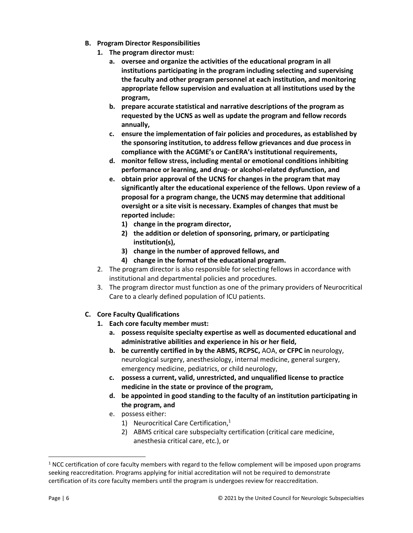- **B. Program Director Responsibilities**
	- **1. The program director must:**
		- **a. oversee and organize the activities of the educational program in all institutions participating in the program including selecting and supervising the faculty and other program personnel at each institution, and monitoring appropriate fellow supervision and evaluation at all institutions used by the program,**
		- **b. prepare accurate statistical and narrative descriptions of the program as requested by the UCNS as well as update the program and fellow records annually,**
		- **c. ensure the implementation of fair policies and procedures, as established by the sponsoring institution, to address fellow grievances and due process in compliance with the ACGME's or CanERA's institutional requirements,**
		- **d. monitor fellow stress, including mental or emotional conditions inhibiting performance or learning, and drug- or alcohol-related dysfunction, and**
		- **e. obtain prior approval of the UCNS for changes in the program that may significantly alter the educational experience of the fellows. Upon review of a proposal for a program change, the UCNS may determine that additional oversight or a site visit is necessary. Examples of changes that must be reported include:**
			- **1) change in the program director,**
			- **2) the addition or deletion of sponsoring, primary, or participating institution(s),**
			- **3) change in the number of approved fellows, and**
			- **4) change in the format of the educational program.**
	- 2. The program director is also responsible for selecting fellows in accordance with institutional and departmental policies and procedures.
	- 3. The program director must function as one of the primary providers of Neurocritical Care to a clearly defined population of ICU patients.
- **C. Core Faculty Qualifications**
	- **1. Each core faculty member must:** 
		- **a. possess requisite specialty expertise as well as documented educational and administrative abilities and experience in his or her field,**
		- **b. be currently certified in by the ABMS, RCPSC,** AOA, **or CFPC in** neurology, neurological surgery, anesthesiology, internal medicine, general surgery, emergency medicine, pediatrics, or child neurology,
		- **c. possess a current, valid, unrestricted, and unqualified license to practice medicine in the state or province of the program,**
		- **d. be appointed in good standing to the faculty of an institution participating in the program, and**
		- e. possess either:
			- 1) Neurocritical Care Certification, 1
			- 2) ABMS critical care subspecialty certification (critical care medicine, anesthesia critical care, etc.), or

<sup>&</sup>lt;sup>1</sup> NCC certification of core faculty members with regard to the fellow complement will be imposed upon programs seeking reaccreditation. Programs applying for initial accreditation will not be required to demonstrate certification of its core faculty members until the program is undergoes review for reaccreditation.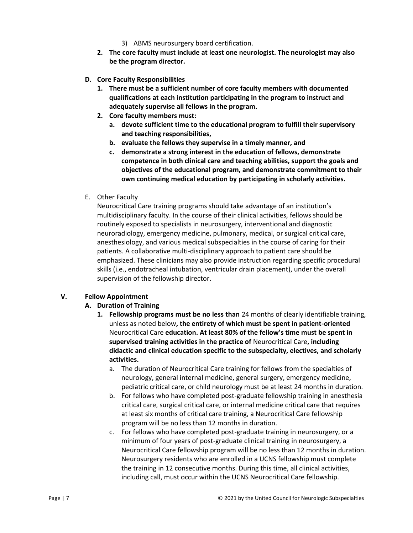- 3) ABMS neurosurgery board certification.
- **2. The core faculty must include at least one neurologist. The neurologist may also be the program director.**
- **D. Core Faculty Responsibilities**
	- **1. There must be a sufficient number of core faculty members with documented qualifications at each institution participating in the program to instruct and adequately supervise all fellows in the program.**
	- **2. Core faculty members must:**
		- **a. devote sufficient time to the educational program to fulfill their supervisory and teaching responsibilities,**
		- **b. evaluate the fellows they supervise in a timely manner, and**
		- **c. demonstrate a strong interest in the education of fellows, demonstrate competence in both clinical care and teaching abilities, support the goals and objectives of the educational program, and demonstrate commitment to their own continuing medical education by participating in scholarly activities.**
- E. Other Faculty

Neurocritical Care training programs should take advantage of an institution's multidisciplinary faculty. In the course of their clinical activities, fellows should be routinely exposed to specialists in neurosurgery, interventional and diagnostic neuroradiology, emergency medicine, pulmonary, medical, or surgical critical care, anesthesiology, and various medical subspecialties in the course of caring for their patients. A collaborative multi-disciplinary approach to patient care should be emphasized. These clinicians may also provide instruction regarding specific procedural skills (i.e., endotracheal intubation, ventricular drain placement), under the overall supervision of the fellowship director.

### **V. Fellow Appointment**

### **A. Duration of Training**

- **1. Fellowship programs must be no less than** 24 months of clearly identifiable training, unless as noted below**, the entirety of which must be spent in patient-oriented**  Neurocritical Care **education. At least 80% of the fellow's time must be spent in supervised training activities in the practice of** Neurocritical Care**, including didactic and clinical education specific to the subspecialty, electives, and scholarly activities.** 
	- a. The duration of Neurocritical Care training for fellows from the specialties of neurology, general internal medicine, general surgery, emergency medicine, pediatric critical care, or child neurology must be at least 24 months in duration.
	- b. For fellows who have completed post-graduate fellowship training in anesthesia critical care, surgical critical care, or internal medicine critical care that requires at least six months of critical care training, a Neurocritical Care fellowship program will be no less than 12 months in duration.
	- c. For fellows who have completed post-graduate training in neurosurgery, or a minimum of four years of post-graduate clinical training in neurosurgery, a Neurocritical Care fellowship program will be no less than 12 months in duration. Neurosurgery residents who are enrolled in a UCNS fellowship must complete the training in 12 consecutive months. During this time, all clinical activities, including call, must occur within the UCNS Neurocritical Care fellowship.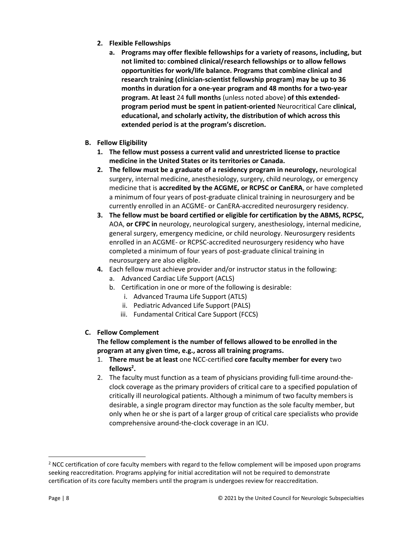- **2. Flexible Fellowships**
	- **a. Programs may offer flexible fellowships for a variety of reasons, including, but not limited to: combined clinical/research fellowships or to allow fellows opportunities for work/life balance. Programs that combine clinical and research training (clinician-scientist fellowship program) may be up to 36 months in duration for a one-year program and 48 months for a two-year program. At least** 24 **full months** (unless noted above) **of this extendedprogram period must be spent in patient-oriented** Neurocritical Care **clinical, educational, and scholarly activity, the distribution of which across this extended period is at the program's discretion.**
- **B. Fellow Eligibility**
	- **1. The fellow must possess a current valid and unrestricted license to practice medicine in the United States or its territories or Canada.**
	- **2. The fellow must be a graduate of a residency program in neurology,** neurological surgery, internal medicine, anesthesiology, surgery, child neurology, or emergency medicine that is **accredited by the ACGME, or RCPSC or CanERA**, or have completed a minimum of four years of post-graduate clinical training in neurosurgery and be currently enrolled in an ACGME- or CanERA-accredited neurosurgery residency.
	- **3. The fellow must be board certified or eligible for certification by the ABMS, RCPSC,**  AOA, **or CFPC in** neurology, neurological surgery, anesthesiology, internal medicine, general surgery, emergency medicine, or child neurology. Neurosurgery residents enrolled in an ACGME- or RCPSC-accredited neurosurgery residency who have completed a minimum of four years of post-graduate clinical training in neurosurgery are also eligible.
	- **4.** Each fellow must achieve provider and/or instructor status in the following:
		- a. Advanced Cardiac Life Support (ACLS)
		- b. Certification in one or more of the following is desirable:
			- i. Advanced Trauma Life Support (ATLS)
			- ii. Pediatric Advanced Life Support (PALS)
			- iii. Fundamental Critical Care Support (FCCS)
- **C. Fellow Complement**

# **The fellow complement is the number of fellows allowed to be enrolled in the program at any given time, e.g., across all training programs.**

- 1. **There must be at least** one NCC-certified **core faculty member for every** two **fellows 2 .**
- 2. The faculty must function as a team of physicians providing full-time around-theclock coverage as the primary providers of critical care to a specified population of critically ill neurological patients. Although a minimum of two faculty members is desirable, a single program director may function as the sole faculty member, but only when he or she is part of a larger group of critical care specialists who provide comprehensive around-the-clock coverage in an ICU.

<sup>&</sup>lt;sup>2</sup> NCC certification of core faculty members with regard to the fellow complement will be imposed upon programs seeking reaccreditation. Programs applying for initial accreditation will not be required to demonstrate certification of its core faculty members until the program is undergoes review for reaccreditation.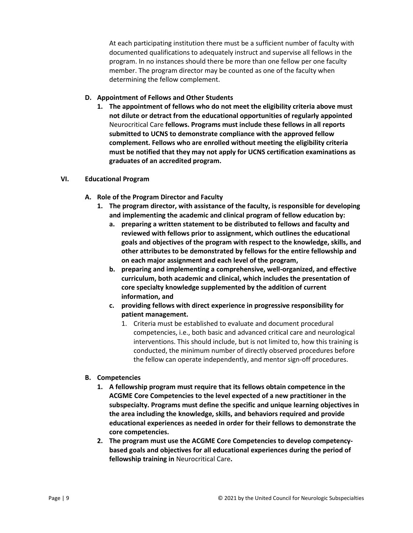At each participating institution there must be a sufficient number of faculty with documented qualifications to adequately instruct and supervise all fellows in the program. In no instances should there be more than one fellow per one faculty member. The program director may be counted as one of the faculty when determining the fellow complement.

## **D. Appointment of Fellows and Other Students**

**1. The appointment of fellows who do not meet the eligibility criteria above must not dilute or detract from the educational opportunities of regularly appointed**  Neurocritical Care **fellows. Programs must include these fellows in all reports submitted to UCNS to demonstrate compliance with the approved fellow complement. Fellows who are enrolled without meeting the eligibility criteria must be notified that they may not apply for UCNS certification examinations as graduates of an accredited program.**

### **VI. Educational Program**

- **A. Role of the Program Director and Faculty**
	- **1. The program director, with assistance of the faculty, is responsible for developing and implementing the academic and clinical program of fellow education by:**
		- **a. preparing a written statement to be distributed to fellows and faculty and reviewed with fellows prior to assignment, which outlines the educational goals and objectives of the program with respect to the knowledge, skills, and other attributes to be demonstrated by fellows for the entire fellowship and on each major assignment and each level of the program,**
		- **b. preparing and implementing a comprehensive, well-organized, and effective curriculum, both academic and clinical, which includes the presentation of core specialty knowledge supplemented by the addition of current information, and**
		- **c. providing fellows with direct experience in progressive responsibility for patient management.**
			- 1. Criteria must be established to evaluate and document procedural competencies, i.e., both basic and advanced critical care and neurological interventions. This should include, but is not limited to, how this training is conducted, the minimum number of directly observed procedures before the fellow can operate independently, and mentor sign-off procedures.
- **B. Competencies**
	- **1. A fellowship program must require that its fellows obtain competence in the ACGME Core Competencies to the level expected of a new practitioner in the subspecialty. Programs must define the specific and unique learning objectives in the area including the knowledge, skills, and behaviors required and provide educational experiences as needed in order for their fellows to demonstrate the core competencies.**
	- **2. The program must use the ACGME Core Competencies to develop competencybased goals and objectives for all educational experiences during the period of fellowship training in** Neurocritical Care**.**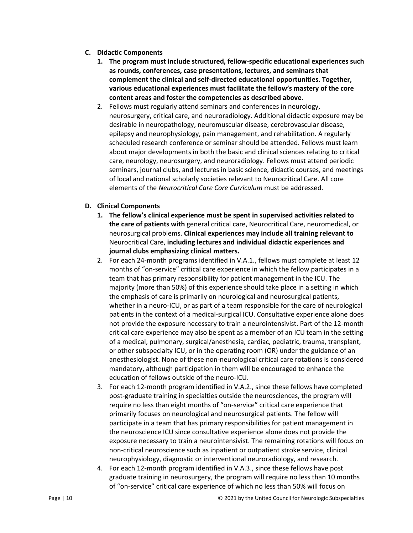#### **C. Didactic Components**

- **1. The program must include structured, fellow-specific educational experiences such as rounds, conferences, case presentations, lectures, and seminars that complement the clinical and self-directed educational opportunities. Together, various educational experiences must facilitate the fellow's mastery of the core content areas and foster the competencies as described above.**
- 2. Fellows must regularly attend seminars and conferences in neurology, neurosurgery, critical care, and neuroradiology. Additional didactic exposure may be desirable in neuropathology, neuromuscular disease, cerebrovascular disease, epilepsy and neurophysiology, pain management, and rehabilitation. A regularly scheduled research conference or seminar should be attended. Fellows must learn about major developments in both the basic and clinical sciences relating to critical care, neurology, neurosurgery, and neuroradiology. Fellows must attend periodic seminars, journal clubs, and lectures in basic science, didactic courses, and meetings of local and national scholarly societies relevant to Neurocritical Care. All core elements of the *Neurocritical Care Core Curriculum* must be addressed.

### **D. Clinical Components**

- **1. The fellow's clinical experience must be spent in supervised activities related to the care of patients with** general critical care, Neurocritical Care, neuromedical, or neurosurgical problems. **Clinical experiences may include all training relevant to**  Neurocritical Care, **including lectures and individual didactic experiences and journal clubs emphasizing clinical matters.**
- 2. For each 24-month programs identified in V.A.1., fellows must complete at least 12 months of "on-service" critical care experience in which the fellow participates in a team that has primary responsibility for patient management in the ICU. The majority (more than 50%) of this experience should take place in a setting in which the emphasis of care is primarily on neurological and neurosurgical patients, whether in a neuro-ICU, or as part of a team responsible for the care of neurological patients in the context of a medical-surgical ICU. Consultative experience alone does not provide the exposure necessary to train a neurointensivist. Part of the 12-month critical care experience may also be spent as a member of an ICU team in the setting of a medical, pulmonary, surgical/anesthesia, cardiac, pediatric, trauma, transplant, or other subspecialty ICU, or in the operating room (OR) under the guidance of an anesthesiologist. None of these non-neurological critical care rotations is considered mandatory, although participation in them will be encouraged to enhance the education of fellows outside of the neuro-ICU.
- 3. For each 12-month program identified in V.A.2., since these fellows have completed post-graduate training in specialties outside the neurosciences, the program will require no less than eight months of "on-service" critical care experience that primarily focuses on neurological and neurosurgical patients. The fellow will participate in a team that has primary responsibilities for patient management in the neuroscience ICU since consultative experience alone does not provide the exposure necessary to train a neurointensivist. The remaining rotations will focus on non-critical neuroscience such as inpatient or outpatient stroke service, clinical neurophysiology, diagnostic or interventional neuroradiology, and research.
- 4. For each 12-month program identified in V.A.3., since these fellows have post graduate training in neurosurgery, the program will require no less than 10 months of "on-service" critical care experience of which no less than 50% will focus on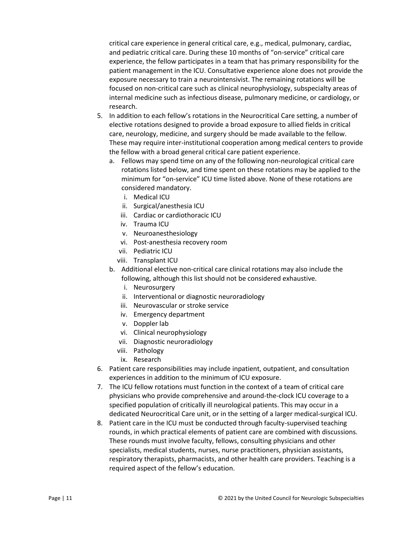critical care experience in general critical care, e.g., medical, pulmonary, cardiac, and pediatric critical care. During these 10 months of "on-service" critical care experience, the fellow participates in a team that has primary responsibility for the patient management in the ICU. Consultative experience alone does not provide the exposure necessary to train a neurointensivist. The remaining rotations will be focused on non-critical care such as clinical neurophysiology, subspecialty areas of internal medicine such as infectious disease, pulmonary medicine, or cardiology, or research.

- 5. In addition to each fellow's rotations in the Neurocritical Care setting, a number of elective rotations designed to provide a broad exposure to allied fields in critical care, neurology, medicine, and surgery should be made available to the fellow. These may require inter-institutional cooperation among medical centers to provide the fellow with a broad general critical care patient experience.
	- a. Fellows may spend time on any of the following non-neurological critical care rotations listed below, and time spent on these rotations may be applied to the minimum for "on-service" ICU time listed above. None of these rotations are considered mandatory.
		- i. Medical ICU
		- ii. Surgical/anesthesia ICU
		- iii. Cardiac or cardiothoracic ICU
		- iv. Trauma ICU
		- v. Neuroanesthesiology
		- vi. Post-anesthesia recovery room
		- vii. Pediatric ICU
		- viii. Transplant ICU
	- b. Additional elective non-critical care clinical rotations may also include the following, although this list should not be considered exhaustive.
		- i. Neurosurgery
		- ii. Interventional or diagnostic neuroradiology
		- iii. Neurovascular or stroke service
		- iv. Emergency department
		- v. Doppler lab
		- vi. Clinical neurophysiology
		- vii. Diagnostic neuroradiology
		- viii. Pathology
		- ix. Research
- 6. Patient care responsibilities may include inpatient, outpatient, and consultation experiences in addition to the minimum of ICU exposure.
- 7. The ICU fellow rotations must function in the context of a team of critical care physicians who provide comprehensive and around-the-clock ICU coverage to a specified population of critically ill neurological patients. This may occur in a dedicated Neurocritical Care unit, or in the setting of a larger medical-surgical ICU.
- 8. Patient care in the ICU must be conducted through faculty-supervised teaching rounds, in which practical elements of patient care are combined with discussions. These rounds must involve faculty, fellows, consulting physicians and other specialists, medical students, nurses, nurse practitioners, physician assistants, respiratory therapists, pharmacists, and other health care providers. Teaching is a required aspect of the fellow's education.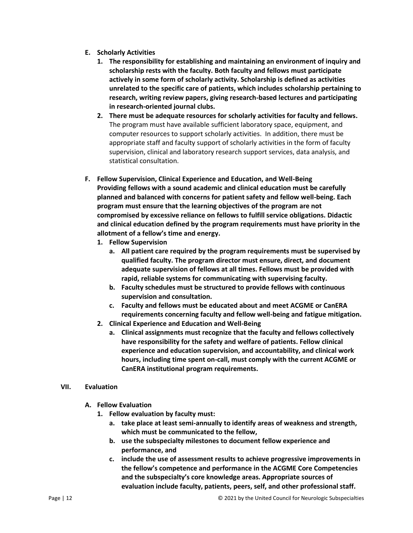- **E. Scholarly Activities**
	- **1. The responsibility for establishing and maintaining an environment of inquiry and scholarship rests with the faculty. Both faculty and fellows must participate actively in some form of scholarly activity. Scholarship is defined as activities unrelated to the specific care of patients, which includes scholarship pertaining to research, writing review papers, giving research-based lectures and participating in research-oriented journal clubs.**
	- **2. There must be adequate resources for scholarly activities for faculty and fellows.** The program must have available sufficient laboratory space, equipment, and computer resources to support scholarly activities. In addition, there must be appropriate staff and faculty support of scholarly activities in the form of faculty supervision, clinical and laboratory research support services, data analysis, and statistical consultation.
- **F. Fellow Supervision, Clinical Experience and Education, and Well-Being Providing fellows with a sound academic and clinical education must be carefully planned and balanced with concerns for patient safety and fellow well-being. Each program must ensure that the learning objectives of the program are not compromised by excessive reliance on fellows to fulfill service obligations. Didactic and clinical education defined by the program requirements must have priority in the allotment of a fellow's time and energy.**
	- **1. Fellow Supervision**
		- **a. All patient care required by the program requirements must be supervised by qualified faculty. The program director must ensure, direct, and document adequate supervision of fellows at all times. Fellows must be provided with rapid, reliable systems for communicating with supervising faculty.**
		- **b. Faculty schedules must be structured to provide fellows with continuous supervision and consultation.**
		- **c. Faculty and fellows must be educated about and meet ACGME or CanERA requirements concerning faculty and fellow well-being and fatigue mitigation.**
	- **2. Clinical Experience and Education and Well-Being**
		- **a. Clinical assignments must recognize that the faculty and fellows collectively have responsibility for the safety and welfare of patients. Fellow clinical experience and education supervision, and accountability, and clinical work hours, including time spent on-call, must comply with the current ACGME or CanERA institutional program requirements.**

### **VII. Evaluation**

- **A. Fellow Evaluation**
	- **1. Fellow evaluation by faculty must:**
		- **a. take place at least semi-annually to identify areas of weakness and strength, which must be communicated to the fellow,**
		- **b. use the subspecialty milestones to document fellow experience and performance, and**
		- **c. include the use of assessment results to achieve progressive improvements in the fellow's competence and performance in the ACGME Core Competencies and the subspecialty's core knowledge areas. Appropriate sources of evaluation include faculty, patients, peers, self, and other professional staff.**